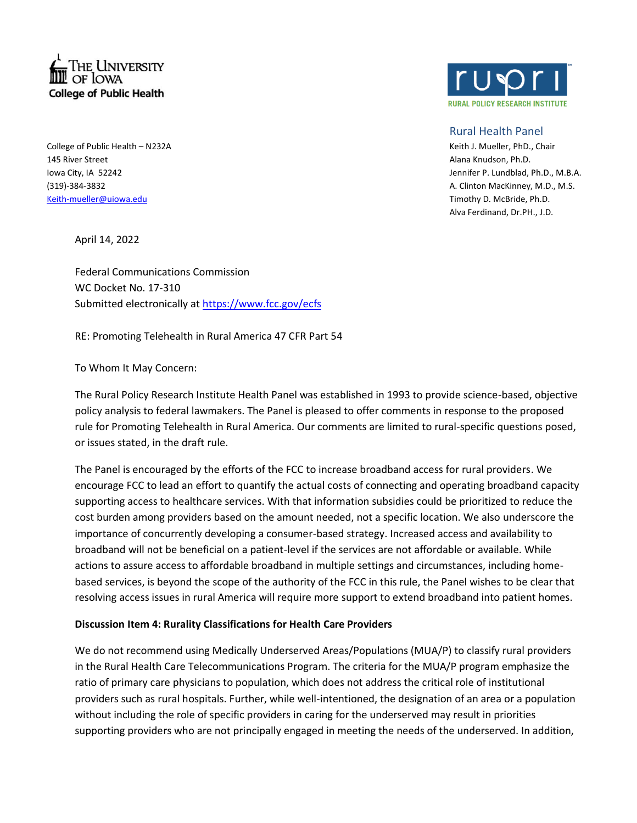

College of Public Health – N232A Keith J. Mueller, PhD., Chair 145 River Street Alana Knudson, Ph.D. [Keith-mueller@uiowa.edu](mailto:Keith-mueller@uiowa.edu) Timothy D. McBride, Ph.D.

April 14, 2022

Federal Communications Commission WC Docket No. 17-310 Submitted electronically at <https://www.fcc.gov/ecfs>

RE: Promoting Telehealth in Rural America 47 CFR Part 54

To Whom It May Concern:

The Rural Policy Research Institute Health Panel was established in 1993 to provide science-based, objective policy analysis to federal lawmakers. The Panel is pleased to offer comments in response to the proposed rule for Promoting Telehealth in Rural America. Our comments are limited to rural-specific questions posed, or issues stated, in the draft rule.

The Panel is encouraged by the efforts of the FCC to increase broadband access for rural providers. We encourage FCC to lead an effort to quantify the actual costs of connecting and operating broadband capacity supporting access to healthcare services. With that information subsidies could be prioritized to reduce the cost burden among providers based on the amount needed, not a specific location. We also underscore the importance of concurrently developing a consumer-based strategy. Increased access and availability to broadband will not be beneficial on a patient-level if the services are not affordable or available. While actions to assure access to affordable broadband in multiple settings and circumstances, including homebased services, is beyond the scope of the authority of the FCC in this rule, the Panel wishes to be clear that resolving access issues in rural America will require more support to extend broadband into patient homes.

## **Discussion Item 4: Rurality Classifications for Health Care Providers**

We do not recommend using Medically Underserved Areas/Populations (MUA/P) to classify rural providers in the Rural Health Care Telecommunications Program. The criteria for the MUA/P program emphasize the ratio of primary care physicians to population, which does not address the critical role of institutional providers such as rural hospitals. Further, while well-intentioned, the designation of an area or a population without including the role of specific providers in caring for the underserved may result in priorities supporting providers who are not principally engaged in meeting the needs of the underserved. In addition,



## Rural Health Panel

Iowa City, IA 52242 Jennifer P. Lundblad, Ph.D., M.B.A. (319)-384-3832 A. Clinton MacKinney, M.D., M.S. Alva Ferdinand, Dr.PH., J.D.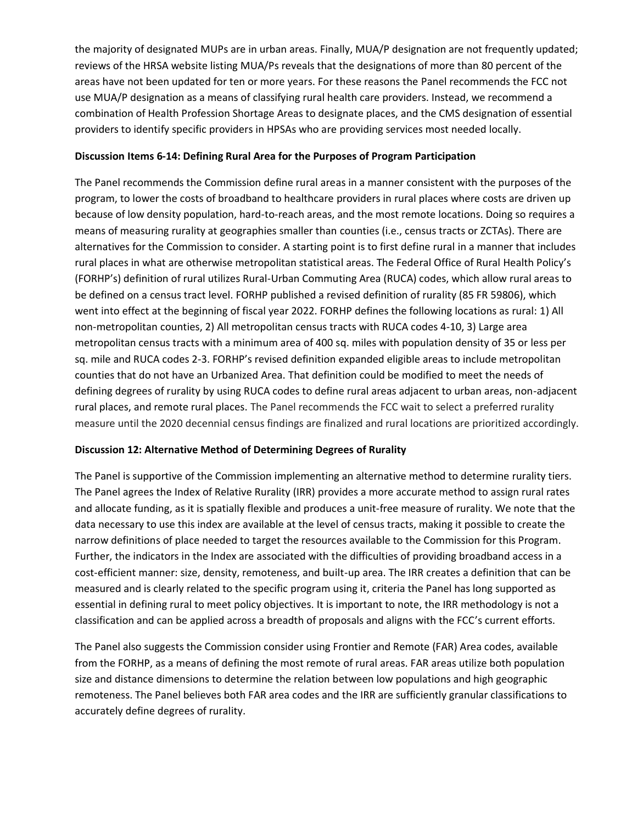the majority of designated MUPs are in urban areas. Finally, MUA/P designation are not frequently updated; reviews of the HRSA website listing MUA/Ps reveals that the designations of more than 80 percent of the areas have not been updated for ten or more years. For these reasons the Panel recommends the FCC not use MUA/P designation as a means of classifying rural health care providers. Instead, we recommend a combination of Health Profession Shortage Areas to designate places, and the CMS designation of essential providers to identify specific providers in HPSAs who are providing services most needed locally.

## **Discussion Items 6-14: Defining Rural Area for the Purposes of Program Participation**

The Panel recommends the Commission define rural areas in a manner consistent with the purposes of the program, to lower the costs of broadband to healthcare providers in rural places where costs are driven up because of low density population, hard-to-reach areas, and the most remote locations. Doing so requires a means of measuring rurality at geographies smaller than counties (i.e., census tracts or ZCTAs). There are alternatives for the Commission to consider. A starting point is to first define rural in a manner that includes rural places in what are otherwise metropolitan statistical areas. The Federal Office of Rural Health Policy's (FORHP's) definition of rural utilizes Rural-Urban Commuting Area (RUCA) codes, which allow rural areas to be defined on a census tract level. FORHP published a revised definition of rurality (85 FR 59806), which went into effect at the beginning of fiscal year 2022. FORHP defines the following locations as rural: 1) All non-metropolitan counties, 2) All metropolitan census tracts with RUCA codes 4-10, 3) Large area metropolitan census tracts with a minimum area of 400 sq. miles with population density of 35 or less per sq. mile and RUCA codes 2-3. FORHP's revised definition expanded eligible areas to include metropolitan counties that do not have an Urbanized Area. That definition could be modified to meet the needs of defining degrees of rurality by using RUCA codes to define rural areas adjacent to urban areas, non-adjacent rural places, and remote rural places. The Panel recommends the FCC wait to select a preferred rurality measure until the 2020 decennial census findings are finalized and rural locations are prioritized accordingly.

## **Discussion 12: Alternative Method of Determining Degrees of Rurality**

The Panel is supportive of the Commission implementing an alternative method to determine rurality tiers. The Panel agrees the Index of Relative Rurality (IRR) provides a more accurate method to assign rural rates and allocate funding, as it is spatially flexible and produces a unit-free measure of rurality. We note that the data necessary to use this index are available at the level of census tracts, making it possible to create the narrow definitions of place needed to target the resources available to the Commission for this Program. Further, the indicators in the Index are associated with the difficulties of providing broadband access in a cost-efficient manner: size, density, remoteness, and built-up area. The IRR creates a definition that can be measured and is clearly related to the specific program using it, criteria the Panel has long supported as essential in defining rural to meet policy objectives. It is important to note, the IRR methodology is not a classification and can be applied across a breadth of proposals and aligns with the FCC's current efforts.

The Panel also suggests the Commission consider using Frontier and Remote (FAR) Area codes, available from the FORHP, as a means of defining the most remote of rural areas. FAR areas utilize both population size and distance dimensions to determine the relation between low populations and high geographic remoteness. The Panel believes both FAR area codes and the IRR are sufficiently granular classifications to accurately define degrees of rurality.